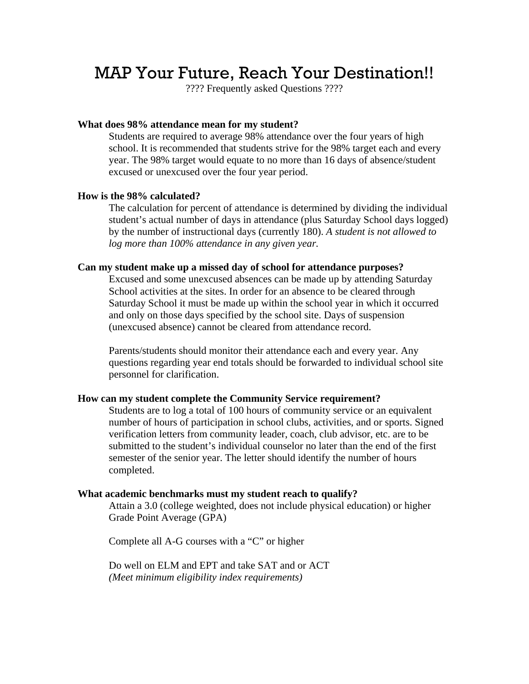# MAP Your Future, Reach Your Destination!!

???? Frequently asked Questions ????

## **What does 98% attendance mean for my student?**

Students are required to average 98% attendance over the four years of high school. It is recommended that students strive for the 98% target each and every year. The 98% target would equate to no more than 16 days of absence/student excused or unexcused over the four year period.

# **How is the 98% calculated?**

The calculation for percent of attendance is determined by dividing the individual student's actual number of days in attendance (plus Saturday School days logged) by the number of instructional days (currently 180). *A student is not allowed to log more than 100% attendance in any given year.*

#### **Can my student make up a missed day of school for attendance purposes?**

Excused and some unexcused absences can be made up by attending Saturday School activities at the sites. In order for an absence to be cleared through Saturday School it must be made up within the school year in which it occurred and only on those days specified by the school site. Days of suspension (unexcused absence) cannot be cleared from attendance record.

Parents/students should monitor their attendance each and every year. Any questions regarding year end totals should be forwarded to individual school site personnel for clarification.

#### **How can my student complete the Community Service requirement?**

Students are to log a total of 100 hours of community service or an equivalent number of hours of participation in school clubs, activities, and or sports. Signed verification letters from community leader, coach, club advisor, etc. are to be submitted to the student's individual counselor no later than the end of the first semester of the senior year. The letter should identify the number of hours completed.

## **What academic benchmarks must my student reach to qualify?**

Attain a 3.0 (college weighted, does not include physical education) or higher Grade Point Average (GPA)

Complete all A-G courses with a "C" or higher

Do well on ELM and EPT and take SAT and or ACT *(Meet minimum eligibility index requirements)*